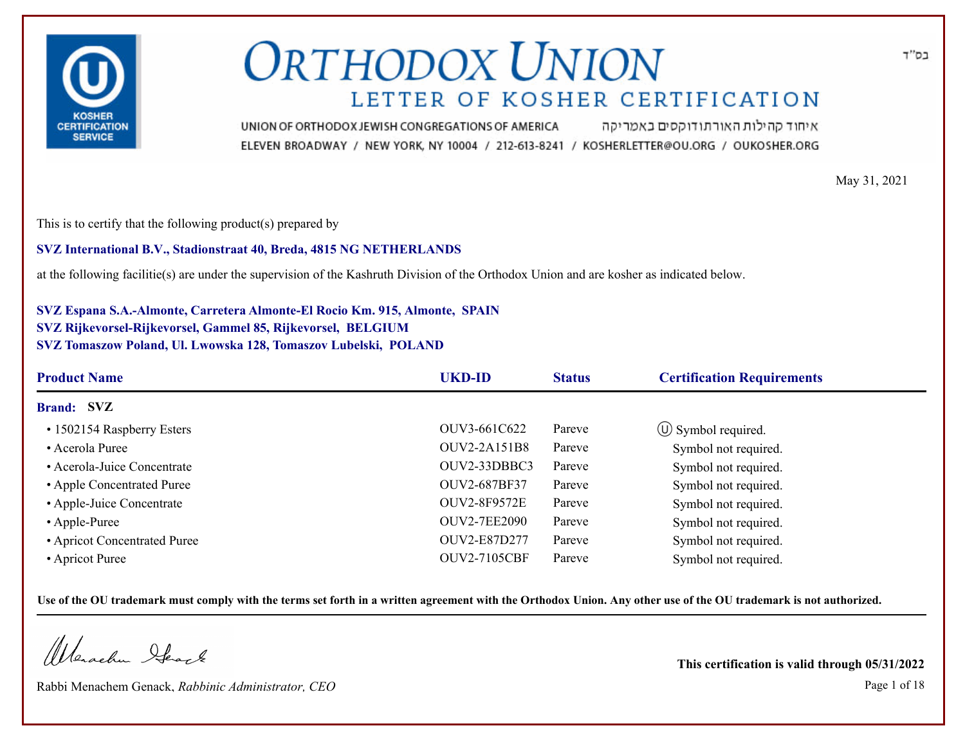

איחוד קהילות האורתודוקסים באמריקה UNION OF ORTHODOX JEWISH CONGREGATIONS OF AMERICA ELEVEN BROADWAY / NEW YORK, NY 10004 / 212-613-8241 / KOSHERLETTER@OU.ORG / OUKOSHER.ORG

May 31, 2021

This is to certify that the following product(s) prepared by

**SVZ International B.V., Stadionstraat 40, Breda, 4815 NG NETHERLANDS**

at the following facilitie(s) are under the supervision of the Kashruth Division of the Orthodox Union and are kosher as indicated below.

**SVZ Espana S.A.-Almonte, Carretera Almonte-El Rocio Km. 915, Almonte, SPAIN SVZ Rijkevorsel-Rijkevorsel, Gammel 85, Rijkevorsel, BELGIUM SVZ Tomaszow Poland, Ul. Lwowska 128, Tomaszov Lubelski, POLAND**

| <b>Product Name</b>          | <b>UKD-ID</b>       | <b>Status</b> | <b>Certification Requirements</b> |
|------------------------------|---------------------|---------------|-----------------------------------|
| <b>Brand: SVZ</b>            |                     |               |                                   |
| • 1502154 Raspberry Esters   | OUV3-661C622        | Pareve        | $\circled{1}$ Symbol required.    |
| • Acerola Puree              | OUV2-2A151B8        | Pareve        | Symbol not required.              |
| • Acerola-Juice Concentrate  | OUV2-33DBBC3        | Pareve        | Symbol not required.              |
| • Apple Concentrated Puree   | OUV2-687BF37        | Pareve        | Symbol not required.              |
| • Apple-Juice Concentrate    | <b>OUV2-8F9572E</b> | Pareve        | Symbol not required.              |
| • Apple-Puree                | <b>OUV2-7EE2090</b> | Pareve        | Symbol not required.              |
| • Apricot Concentrated Puree | OUV2-E87D277        | Pareve        | Symbol not required.              |
| • Apricot Puree              | <b>OUV2-7105CBF</b> | Pareve        | Symbol not required.              |

**Use of the OU trademark must comply with the terms set forth in a written agreement with the Orthodox Union. Any other use of the OU trademark is not authorized.**

Werschn Heart

Rabbi Menachem Genack, *Rabbinic Administrator, CEO* Page 1 of 18

**This certification is valid through 05/31/2022**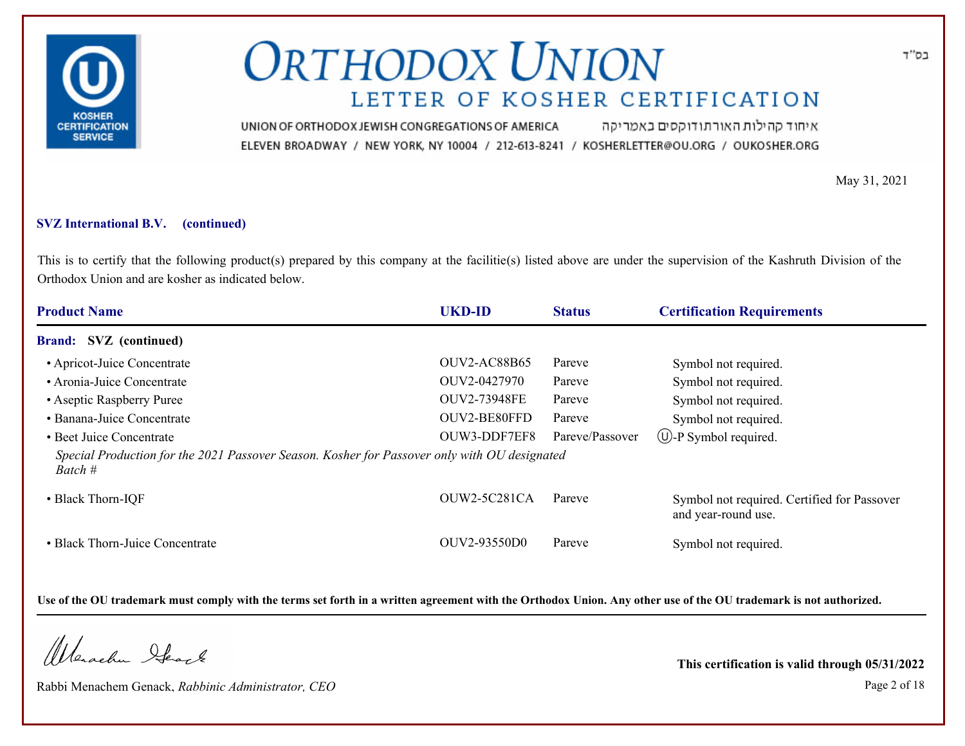

איחוד קהילות האורתודוקסים באמריקה UNION OF ORTHODOX JEWISH CONGREGATIONS OF AMERICA ELEVEN BROADWAY / NEW YORK, NY 10004 / 212-613-8241 / KOSHERLETTER@OU.ORG / OUKOSHER.ORG

May 31, 2021

#### **SVZ International B.V. (continued)**

This is to certify that the following product(s) prepared by this company at the facilitie(s) listed above are under the supervision of the Kashruth Division of the Orthodox Union and are kosher as indicated below.

| <b>Product Name</b>                                                                                     | <b>UKD-ID</b>       | <b>Status</b>   | <b>Certification Requirements</b>                                  |
|---------------------------------------------------------------------------------------------------------|---------------------|-----------------|--------------------------------------------------------------------|
| Brand: SVZ (continued)                                                                                  |                     |                 |                                                                    |
| • Apricot-Juice Concentrate                                                                             | <b>OUV2-AC88B65</b> | Pareve          | Symbol not required.                                               |
| • Aronia-Juice Concentrate                                                                              | OUV2-0427970        | Pareve          | Symbol not required.                                               |
| • Aseptic Raspberry Puree                                                                               | <b>OUV2-73948FE</b> | Pareve          | Symbol not required.                                               |
| • Banana-Juice Concentrate                                                                              | OUV2-BE80FFD        | Pareve          | Symbol not required.                                               |
| • Beet Juice Concentrate                                                                                | OUW3-DDF7EF8        | Pareve/Passover | $\bigcup$ -P Symbol required.                                      |
| Special Production for the 2021 Passover Season. Kosher for Passover only with OU designated<br>Batch # |                     |                 |                                                                    |
| • Black Thorn-IQF                                                                                       | OUW2-5C281CA        | Pareve          | Symbol not required. Certified for Passover<br>and year-round use. |
| • Black Thorn-Juice Concentrate                                                                         | OUV2-93550D0        | Pareve          | Symbol not required.                                               |

**Use of the OU trademark must comply with the terms set forth in a written agreement with the Orthodox Union. Any other use of the OU trademark is not authorized.**

Werachen Ifearle

Rabbi Menachem Genack, *Rabbinic Administrator, CEO* Page 2 of 18

**This certification is valid through 05/31/2022**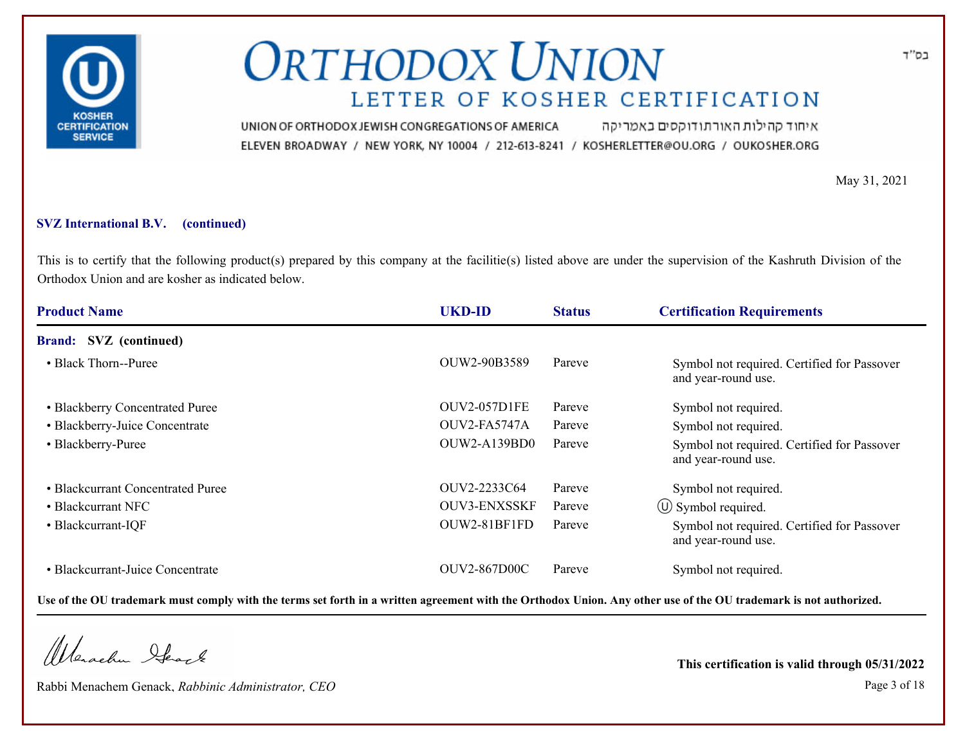

איחוד קהילות האורתודוקסים באמריקה UNION OF ORTHODOX JEWISH CONGREGATIONS OF AMERICA ELEVEN BROADWAY / NEW YORK, NY 10004 / 212-613-8241 / KOSHERLETTER@OU.ORG / OUKOSHER.ORG

May 31, 2021

### **SVZ International B.V. (continued)**

This is to certify that the following product(s) prepared by this company at the facilitie(s) listed above are under the supervision of the Kashruth Division of the Orthodox Union and are kosher as indicated below.

| <b>Product Name</b>               | <b>UKD-ID</b>       | <b>Status</b> | <b>Certification Requirements</b>                                  |
|-----------------------------------|---------------------|---------------|--------------------------------------------------------------------|
| <b>Brand:</b> SVZ (continued)     |                     |               |                                                                    |
| • Black Thorn--Puree              | OUW2-90B3589        | Pareve        | Symbol not required. Certified for Passover<br>and year-round use. |
| • Blackberry Concentrated Puree   | <b>OUV2-057D1FE</b> | Pareve        | Symbol not required.                                               |
| • Blackberry-Juice Concentrate    | OUV2-FA5747A        | Pareve        | Symbol not required.                                               |
| • Blackberry-Puree                | <b>OUW2-A139BD0</b> | Pareve        | Symbol not required. Certified for Passover<br>and year-round use. |
| • Blackcurrant Concentrated Puree | OUV2-2233C64        | Pareve        | Symbol not required.                                               |
| • Blackcurrant NFC                | <b>OUV3-ENXSSKF</b> | Pareve        | $\circ$ Symbol required.                                           |
| • Blackcurrant-IQF                | OUW2-81BF1FD        | Pareve        | Symbol not required. Certified for Passover<br>and year-round use. |
| • Blackcurrant-Juice Concentrate  | <b>OUV2-867D00C</b> | Pareve        | Symbol not required.                                               |

**Use of the OU trademark must comply with the terms set forth in a written agreement with the Orthodox Union. Any other use of the OU trademark is not authorized.**

Werachen Ifearle

Rabbi Menachem Genack, *Rabbinic Administrator, CEO* Page 3 of 18

**This certification is valid through 05/31/2022**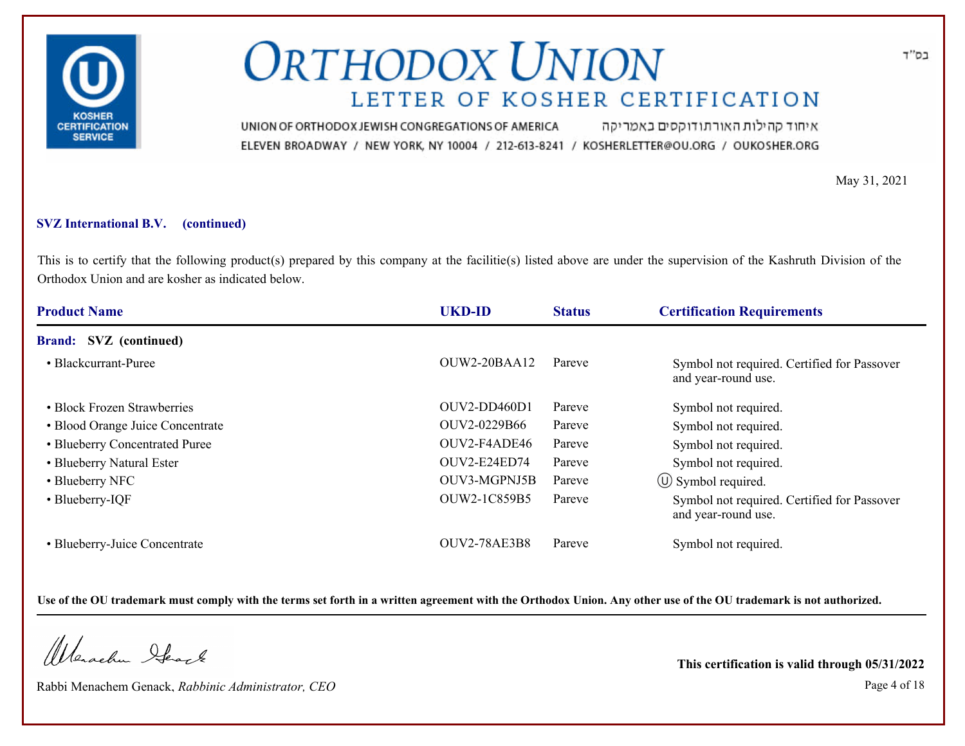

איחוד קהילות האורתודוקסים באמריקה UNION OF ORTHODOX JEWISH CONGREGATIONS OF AMERICA ELEVEN BROADWAY / NEW YORK, NY 10004 / 212-613-8241 / KOSHERLETTER@OU.ORG / OUKOSHER.ORG

May 31, 2021

#### **SVZ International B.V. (continued)**

This is to certify that the following product(s) prepared by this company at the facilitie(s) listed above are under the supervision of the Kashruth Division of the Orthodox Union and are kosher as indicated below.

| <b>Product Name</b>              | <b>UKD-ID</b>       | <b>Status</b> | <b>Certification Requirements</b>                                  |
|----------------------------------|---------------------|---------------|--------------------------------------------------------------------|
| <b>Brand:</b> SVZ (continued)    |                     |               |                                                                    |
| • Blackcurrant-Puree             | $OUW2-20BAA12$      | Pareve        | Symbol not required. Certified for Passover<br>and year-round use. |
| • Block Frozen Strawberries      | OUV2-DD460D1        | Pareve        | Symbol not required.                                               |
| • Blood Orange Juice Concentrate | OUV2-0229B66        | Pareve        | Symbol not required.                                               |
| • Blueberry Concentrated Puree   | OUV2-F4ADE46        | Pareve        | Symbol not required.                                               |
| • Blueberry Natural Ester        | OUV2-E24ED74        | Pareve        | Symbol not required.                                               |
| • Blueberry NFC                  | OUV3-MGPNJ5B        | Pareve        | $\circ$ Symbol required.                                           |
| • Blueberry-IQF                  | OUW2-1C859B5        | Pareve        | Symbol not required. Certified for Passover<br>and year-round use. |
| • Blueberry-Juice Concentrate    | <b>OUV2-78AE3B8</b> | Pareve        | Symbol not required.                                               |

**Use of the OU trademark must comply with the terms set forth in a written agreement with the Orthodox Union. Any other use of the OU trademark is not authorized.**

Werachen Ifearle

Rabbi Menachem Genack, *Rabbinic Administrator, CEO* Page 4 of 18

**This certification is valid through 05/31/2022**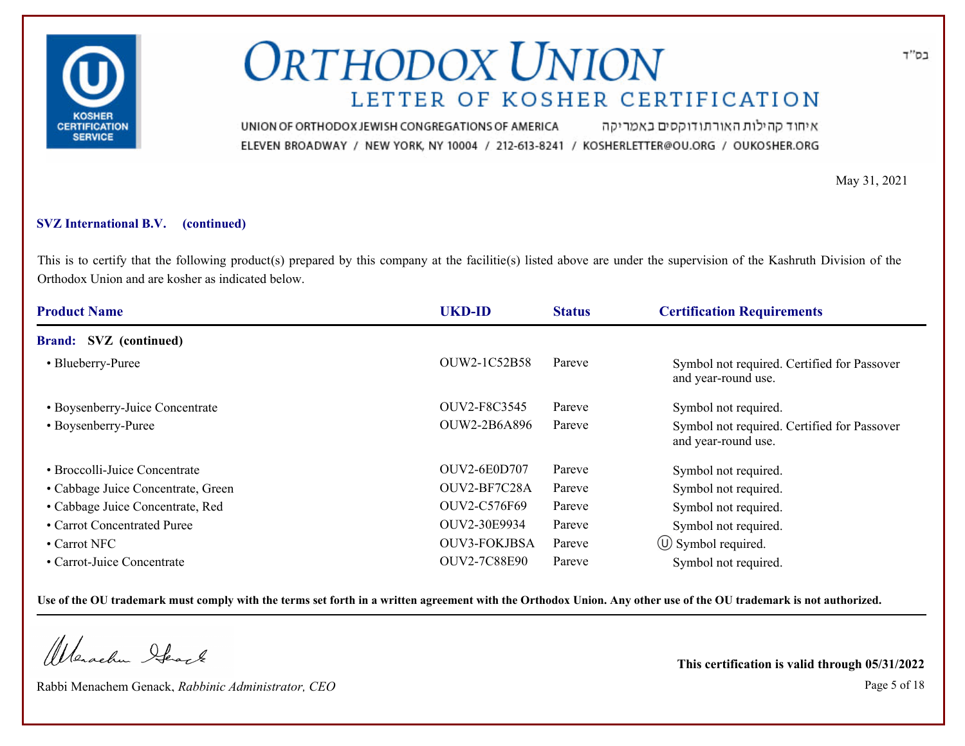

איחוד קהילות האורתודוקסים באמריקה UNION OF ORTHODOX JEWISH CONGREGATIONS OF AMERICA ELEVEN BROADWAY / NEW YORK, NY 10004 / 212-613-8241 / KOSHERLETTER@OU.ORG / OUKOSHER.ORG

May 31, 2021

### **SVZ International B.V. (continued)**

This is to certify that the following product(s) prepared by this company at the facilitie(s) listed above are under the supervision of the Kashruth Division of the Orthodox Union and are kosher as indicated below.

| <b>Product Name</b>                | <b>UKD-ID</b>       | <b>Status</b> | <b>Certification Requirements</b>                                  |
|------------------------------------|---------------------|---------------|--------------------------------------------------------------------|
| <b>Brand:</b> SVZ (continued)      |                     |               |                                                                    |
| • Blueberry-Puree                  | OUW2-1C52B58        | Pareve        | Symbol not required. Certified for Passover<br>and year-round use. |
| • Boysenberry-Juice Concentrate    | OUV2-F8C3545        | Pareve        | Symbol not required.                                               |
| • Boysenberry-Puree                | <b>OUW2-2B6A896</b> | Pareve        | Symbol not required. Certified for Passover<br>and year-round use. |
| • Broccolli-Juice Concentrate      | <b>OUV2-6E0D707</b> | Pareve        | Symbol not required.                                               |
| • Cabbage Juice Concentrate, Green | OUV2-BF7C28A        | Pareve        | Symbol not required.                                               |
| • Cabbage Juice Concentrate, Red   | <b>OUV2-C576F69</b> | Pareve        | Symbol not required.                                               |
| • Carrot Concentrated Puree        | OUV2-30E9934        | Pareve        | Symbol not required.                                               |
| • Carrot NFC                       | <b>OUV3-FOKJBSA</b> | Pareve        | $\circ$ Symbol required.                                           |
| • Carrot-Juice Concentrate         | <b>OUV2-7C88E90</b> | Pareve        | Symbol not required.                                               |

**Use of the OU trademark must comply with the terms set forth in a written agreement with the Orthodox Union. Any other use of the OU trademark is not authorized.**

Werachen Stack

Rabbi Menachem Genack, *Rabbinic Administrator, CEO* Page 5 of 18

**This certification is valid through 05/31/2022**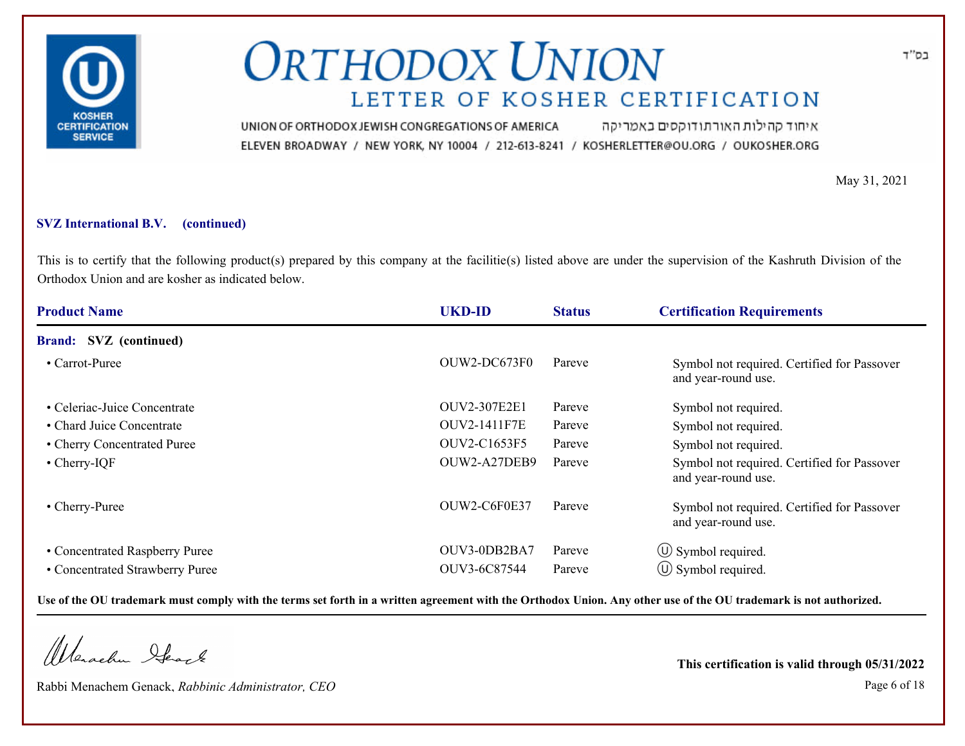

איחוד קהילות האורתודוקסים באמריקה UNION OF ORTHODOX JEWISH CONGREGATIONS OF AMERICA ELEVEN BROADWAY / NEW YORK, NY 10004 / 212-613-8241 / KOSHERLETTER@OU.ORG / OUKOSHER.ORG

May 31, 2021

### **SVZ International B.V. (continued)**

This is to certify that the following product(s) prepared by this company at the facilitie(s) listed above are under the supervision of the Kashruth Division of the Orthodox Union and are kosher as indicated below.

| <b>Product Name</b>             | <b>UKD-ID</b>       | <b>Status</b> | <b>Certification Requirements</b>                                  |
|---------------------------------|---------------------|---------------|--------------------------------------------------------------------|
| <b>Brand:</b> SVZ (continued)   |                     |               |                                                                    |
| • Carrot-Puree                  | OUW2-DC673F0        | Pareve        | Symbol not required. Certified for Passover<br>and year-round use. |
| • Celeriac-Juice Concentrate    | <b>OUV2-307E2E1</b> | Pareve        | Symbol not required.                                               |
| • Chard Juice Concentrate       | <b>OUV2-1411F7E</b> | Pareve        | Symbol not required.                                               |
| • Cherry Concentrated Puree     | OUV2-C1653F5        | Pareve        | Symbol not required.                                               |
| $\bullet$ Cherry-IQF            | OUW2-A27DEB9        | Pareve        | Symbol not required. Certified for Passover<br>and year-round use. |
| • Cherry-Puree                  | OUW2-C6F0E37        | Pareve        | Symbol not required. Certified for Passover<br>and year-round use. |
| • Concentrated Raspberry Puree  | OUV3-0DB2BA7        | Pareve        | $\circ$ Symbol required.                                           |
| • Concentrated Strawberry Puree | OUV3-6C87544        | Pareve        | $\circ$ Symbol required.                                           |

**Use of the OU trademark must comply with the terms set forth in a written agreement with the Orthodox Union. Any other use of the OU trademark is not authorized.**

Werachen Stack

Rabbi Menachem Genack, *Rabbinic Administrator, CEO* Page 6 of 18

**This certification is valid through 05/31/2022**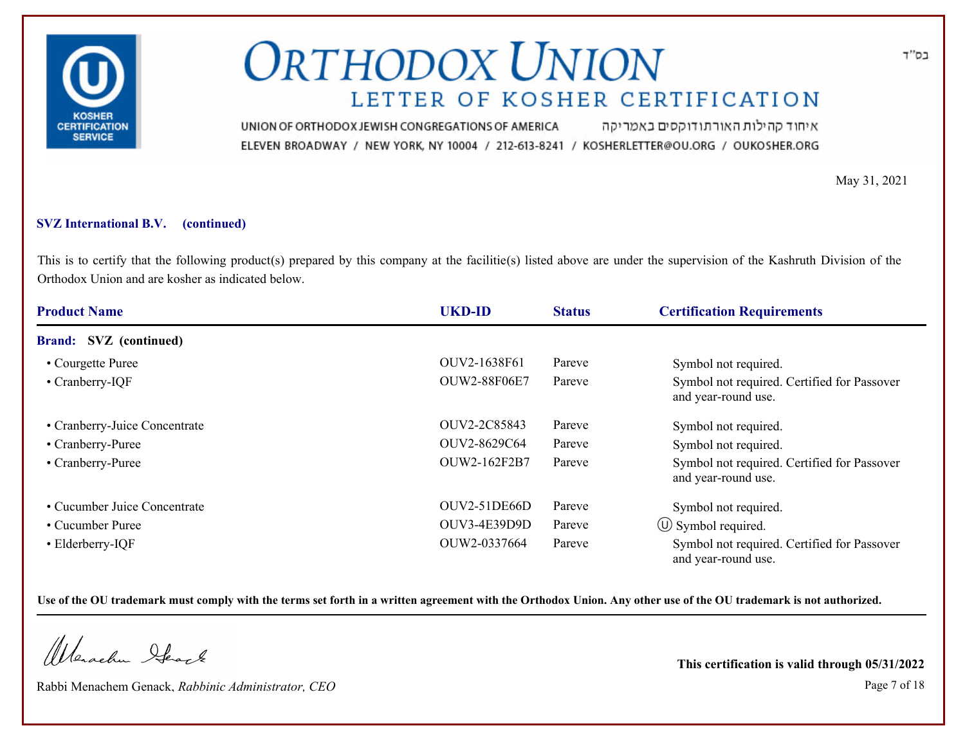

איחוד קהילות האורתודוקסים באמריקה UNION OF ORTHODOX JEWISH CONGREGATIONS OF AMERICA ELEVEN BROADWAY / NEW YORK, NY 10004 / 212-613-8241 / KOSHERLETTER@OU.ORG / OUKOSHER.ORG

May 31, 2021

### **SVZ International B.V. (continued)**

This is to certify that the following product(s) prepared by this company at the facilitie(s) listed above are under the supervision of the Kashruth Division of the Orthodox Union and are kosher as indicated below.

| <b>Product Name</b>           | <b>UKD-ID</b>       | <b>Status</b> | <b>Certification Requirements</b>                                  |
|-------------------------------|---------------------|---------------|--------------------------------------------------------------------|
| <b>Brand:</b> SVZ (continued) |                     |               |                                                                    |
| • Courgette Puree             | OUV2-1638F61        | Pareve        | Symbol not required.                                               |
| • Cranberry-IQF               | <b>OUW2-88F06E7</b> | Pareve        | Symbol not required. Certified for Passover<br>and year-round use. |
| • Cranberry-Juice Concentrate | OUV2-2C85843        | Pareve        | Symbol not required.                                               |
| • Cranberry-Puree             | OUV2-8629C64        | Pareve        | Symbol not required.                                               |
| • Cranberry-Puree             | OUW2-162F2B7        | Pareve        | Symbol not required. Certified for Passover<br>and year-round use. |
| • Cucumber Juice Concentrate  | OUV2-51DE66D        | Pareve        | Symbol not required.                                               |
| • Cucumber Puree              | OUV3-4E39D9D        | Pareve        | $\circled{1}$ Symbol required.                                     |
| • Elderberry-IQF              | OUW2-0337664        | Pareve        | Symbol not required. Certified for Passover<br>and vear-round use. |

**Use of the OU trademark must comply with the terms set forth in a written agreement with the Orthodox Union. Any other use of the OU trademark is not authorized.**

Werachen Ifearle

Rabbi Menachem Genack, *Rabbinic Administrator, CEO* Page 7 of 18

**This certification is valid through 05/31/2022**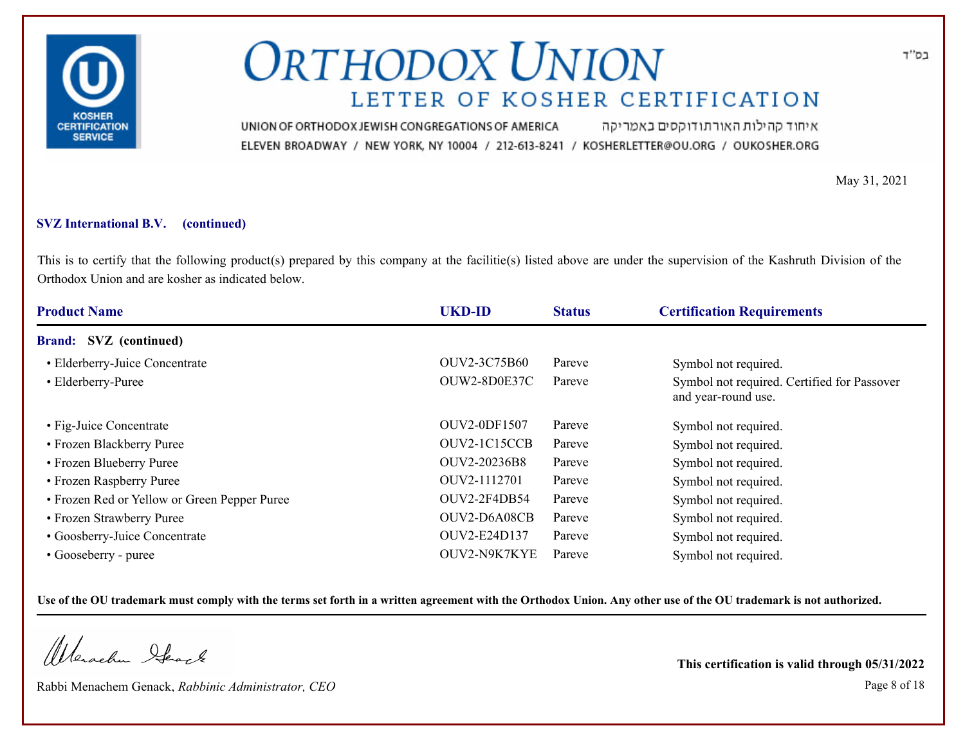

איחוד קהילות האורתודוקסים באמריקה UNION OF ORTHODOX JEWISH CONGREGATIONS OF AMERICA ELEVEN BROADWAY / NEW YORK, NY 10004 / 212-613-8241 / KOSHERLETTER@OU.ORG / OUKOSHER.ORG

May 31, 2021

### **SVZ International B.V. (continued)**

This is to certify that the following product(s) prepared by this company at the facilitie(s) listed above are under the supervision of the Kashruth Division of the Orthodox Union and are kosher as indicated below.

| <b>Product Name</b>                          | <b>UKD-ID</b> | <b>Status</b> | <b>Certification Requirements</b>                                  |
|----------------------------------------------|---------------|---------------|--------------------------------------------------------------------|
| <b>Brand:</b> SVZ (continued)                |               |               |                                                                    |
| • Elderberry-Juice Concentrate               | OUV2-3C75B60  | Pareve        | Symbol not required.                                               |
| • Elderberry-Puree                           | OUW2-8D0E37C  | Pareve        | Symbol not required. Certified for Passover<br>and year-round use. |
| • Fig-Juice Concentrate                      | OUV2-0DF1507  | Pareve        | Symbol not required.                                               |
| • Frozen Blackberry Puree                    | OUV2-1C15CCB  | Pareve        | Symbol not required.                                               |
| • Frozen Blueberry Puree                     | OUV2-20236B8  | Pareve        | Symbol not required.                                               |
| • Frozen Raspberry Puree                     | OUV2-1112701  | Pareve        | Symbol not required.                                               |
| • Frozen Red or Yellow or Green Pepper Puree | OUV2-2F4DB54  | Pareve        | Symbol not required.                                               |
| • Frozen Strawberry Puree                    | OUV2-D6A08CB  | Pareve        | Symbol not required.                                               |
| • Goosberry-Juice Concentrate                | OUV2-E24D137  | Pareve        | Symbol not required.                                               |
| • Gooseberry - puree                         | OUV2-N9K7KYE  | Pareve        | Symbol not required.                                               |

**Use of the OU trademark must comply with the terms set forth in a written agreement with the Orthodox Union. Any other use of the OU trademark is not authorized.**

Werachen Ifearle

Rabbi Menachem Genack, *Rabbinic Administrator, CEO* Page 8 of 18

**This certification is valid through 05/31/2022**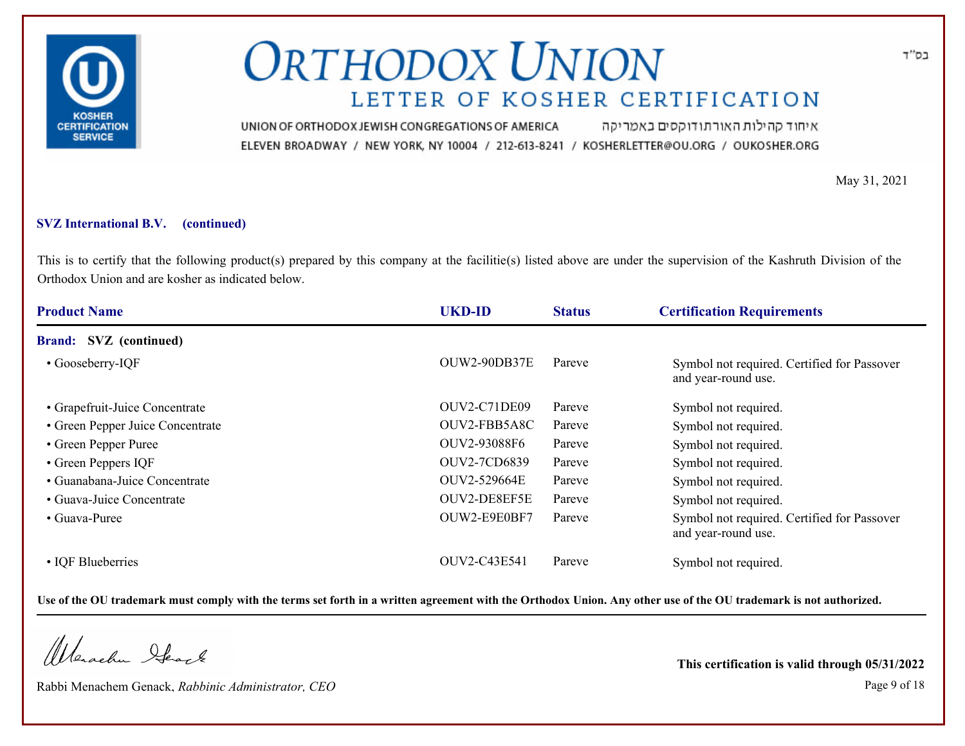

איחוד קהילות האורתודוקסים באמריקה UNION OF ORTHODOX JEWISH CONGREGATIONS OF AMERICA ELEVEN BROADWAY / NEW YORK, NY 10004 / 212-613-8241 / KOSHERLETTER@OU.ORG / OUKOSHER.ORG

May 31, 2021

### **SVZ International B.V. (continued)**

This is to certify that the following product(s) prepared by this company at the facilitie(s) listed above are under the supervision of the Kashruth Division of the Orthodox Union and are kosher as indicated below.

| <b>Product Name</b>              | <b>UKD-ID</b> | <b>Status</b> | <b>Certification Requirements</b>                                  |
|----------------------------------|---------------|---------------|--------------------------------------------------------------------|
| <b>Brand:</b> SVZ (continued)    |               |               |                                                                    |
| • Gooseberry-IQF                 | OUW2-90DB37E  | Pareve        | Symbol not required. Certified for Passover<br>and year-round use. |
| • Grapefruit-Juice Concentrate   | OUV2-C71DE09  | Pareve        | Symbol not required.                                               |
| • Green Pepper Juice Concentrate | OUV2-FBB5A8C  | Pareve        | Symbol not required.                                               |
| • Green Pepper Puree             | OUV2-93088F6  | Pareve        | Symbol not required.                                               |
| • Green Peppers IQF              | OUV2-7CD6839  | Pareve        | Symbol not required.                                               |
| • Guanabana-Juice Concentrate    | OUV2-529664E  | Pareve        | Symbol not required.                                               |
| • Guava-Juice Concentrate        | OUV2-DE8EF5E  | Pareve        | Symbol not required.                                               |
| • Guava-Puree                    | OUW2-E9E0BF7  | Pareve        | Symbol not required. Certified for Passover<br>and year-round use. |
| • IQF Blueberries                | OUV2-C43E541  | Pareve        | Symbol not required.                                               |

**Use of the OU trademark must comply with the terms set forth in a written agreement with the Orthodox Union. Any other use of the OU trademark is not authorized.**

Werachen Ifearle

Rabbi Menachem Genack, *Rabbinic Administrator, CEO* Page 9 of 18

**This certification is valid through 05/31/2022**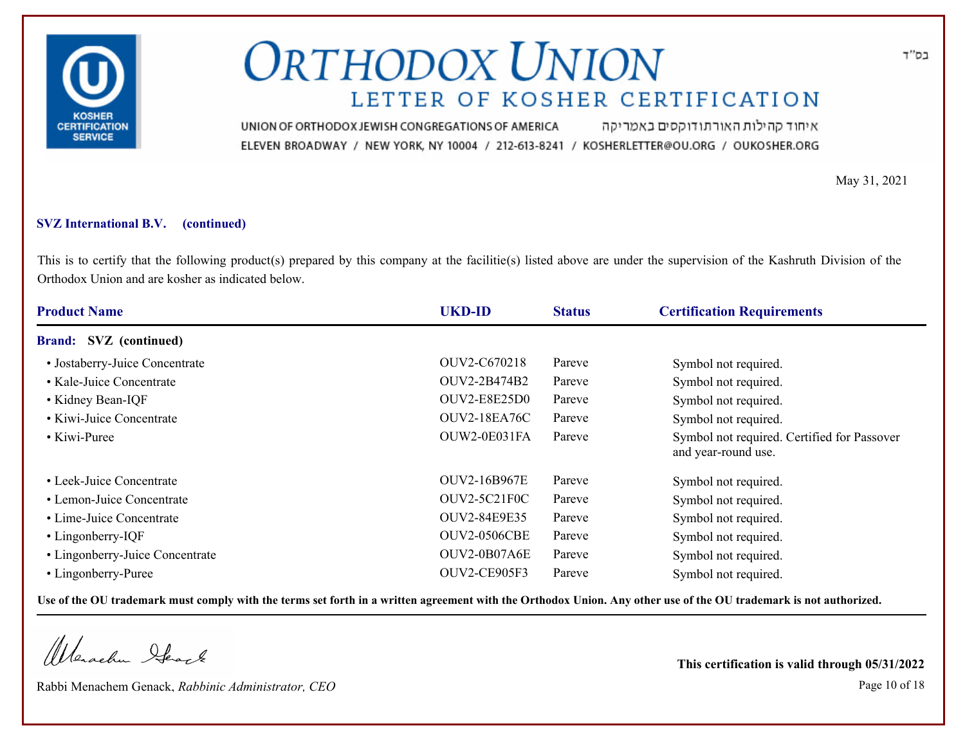

איחוד קהילות האורתודוקסים באמריקה UNION OF ORTHODOX JEWISH CONGREGATIONS OF AMERICA ELEVEN BROADWAY / NEW YORK, NY 10004 / 212-613-8241 / KOSHERLETTER@OU.ORG / OUKOSHER.ORG

May 31, 2021

### **SVZ International B.V. (continued)**

This is to certify that the following product(s) prepared by this company at the facilitie(s) listed above are under the supervision of the Kashruth Division of the Orthodox Union and are kosher as indicated below.

| <b>Product Name</b>             | <b>UKD-ID</b>       | <b>Status</b> | <b>Certification Requirements</b>                                  |
|---------------------------------|---------------------|---------------|--------------------------------------------------------------------|
| <b>Brand:</b> SVZ (continued)   |                     |               |                                                                    |
| • Jostaberry-Juice Concentrate  | OUV2-C670218        | Pareve        | Symbol not required.                                               |
| • Kale-Juice Concentrate        | OUV2-2B474B2        | Pareve        | Symbol not required.                                               |
| • Kidney Bean-IQF               | <b>OUV2-E8E25D0</b> | Pareve        | Symbol not required.                                               |
| • Kiwi-Juice Concentrate        | <b>OUV2-18EA76C</b> | Pareve        | Symbol not required.                                               |
| • Kiwi-Puree                    | OUW2-0E031FA        | Pareve        | Symbol not required. Certified for Passover<br>and year-round use. |
| • Leek-Juice Concentrate        | <b>OUV2-16B967E</b> | Pareve        | Symbol not required.                                               |
| • Lemon-Juice Concentrate       | OUV2-5C21F0C        | Pareve        | Symbol not required.                                               |
| • Lime-Juice Concentrate        | OUV2-84E9E35        | Pareve        | Symbol not required.                                               |
| • Lingonberry-IQF               | <b>OUV2-0506CBE</b> | Pareve        | Symbol not required.                                               |
| • Lingonberry-Juice Concentrate | OUV2-0B07A6E        | Pareve        | Symbol not required.                                               |
| • Lingonberry-Puree             | OUV2-CE905F3        | Pareve        | Symbol not required.                                               |

**Use of the OU trademark must comply with the terms set forth in a written agreement with the Orthodox Union. Any other use of the OU trademark is not authorized.**

Werachen Stack

Rabbi Menachem Genack, *Rabbinic Administrator, CEO* Page 10 of 18

**This certification is valid through 05/31/2022**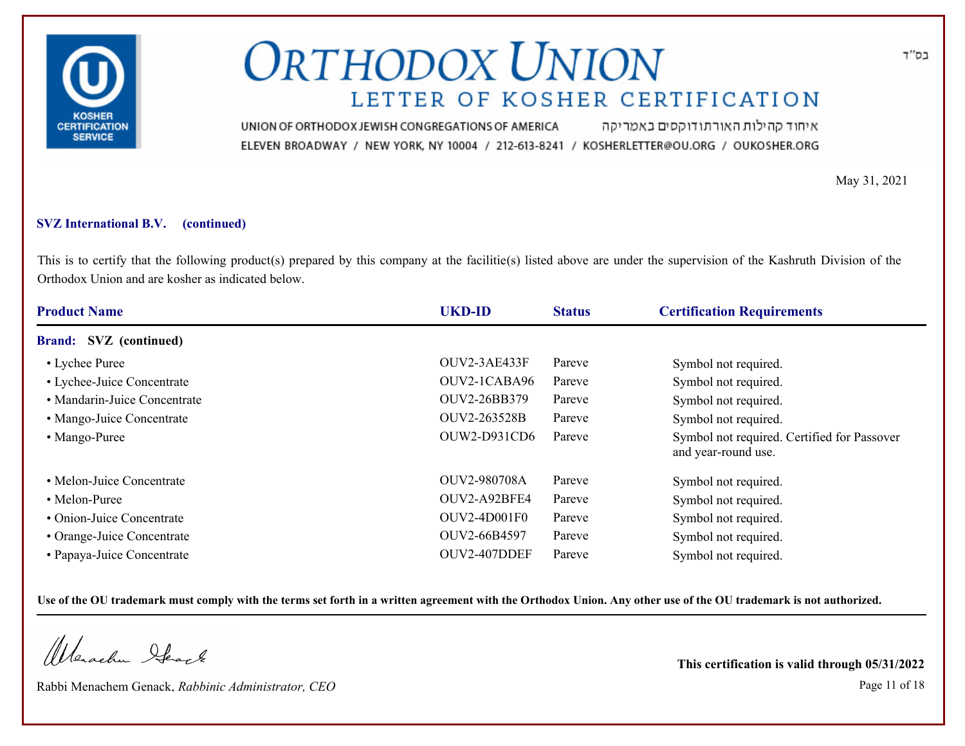

איחוד קהילות האורתודוקסים באמריקה UNION OF ORTHODOX JEWISH CONGREGATIONS OF AMERICA ELEVEN BROADWAY / NEW YORK, NY 10004 / 212-613-8241 / KOSHERLETTER@OU.ORG / OUKOSHER.ORG

May 31, 2021

### **SVZ International B.V. (continued)**

This is to certify that the following product(s) prepared by this company at the facilitie(s) listed above are under the supervision of the Kashruth Division of the Orthodox Union and are kosher as indicated below.

| <b>Product Name</b>           | <b>UKD-ID</b> | <b>Status</b> | <b>Certification Requirements</b>                                  |
|-------------------------------|---------------|---------------|--------------------------------------------------------------------|
| <b>Brand:</b> SVZ (continued) |               |               |                                                                    |
| • Lychee Puree                | OUV2-3AE433F  | Pareve        | Symbol not required.                                               |
| • Lychee-Juice Concentrate    | OUV2-1CABA96  | Pareve        | Symbol not required.                                               |
| • Mandarin-Juice Concentrate  | OUV2-26BB379  | Pareve        | Symbol not required.                                               |
| • Mango-Juice Concentrate     | OUV2-263528B  | Pareve        | Symbol not required.                                               |
| • Mango-Puree                 | OUW2-D931CD6  | Pareve        | Symbol not required. Certified for Passover<br>and year-round use. |
| • Melon-Juice Concentrate     | OUV2-980708A  | Pareve        | Symbol not required.                                               |
| • Melon-Puree                 | OUV2-A92BFE4  | Pareve        | Symbol not required.                                               |
| • Onion-Juice Concentrate     | OUV2-4D001F0  | Pareve        | Symbol not required.                                               |
| • Orange-Juice Concentrate    | OUV2-66B4597  | Pareve        | Symbol not required.                                               |
| • Papaya-Juice Concentrate    | OUV2-407DDEF  | Pareve        | Symbol not required.                                               |

**Use of the OU trademark must comply with the terms set forth in a written agreement with the Orthodox Union. Any other use of the OU trademark is not authorized.**

Werachen Ifearle

Rabbi Menachem Genack, *Rabbinic Administrator, CEO* Page 11 of 18

**This certification is valid through 05/31/2022**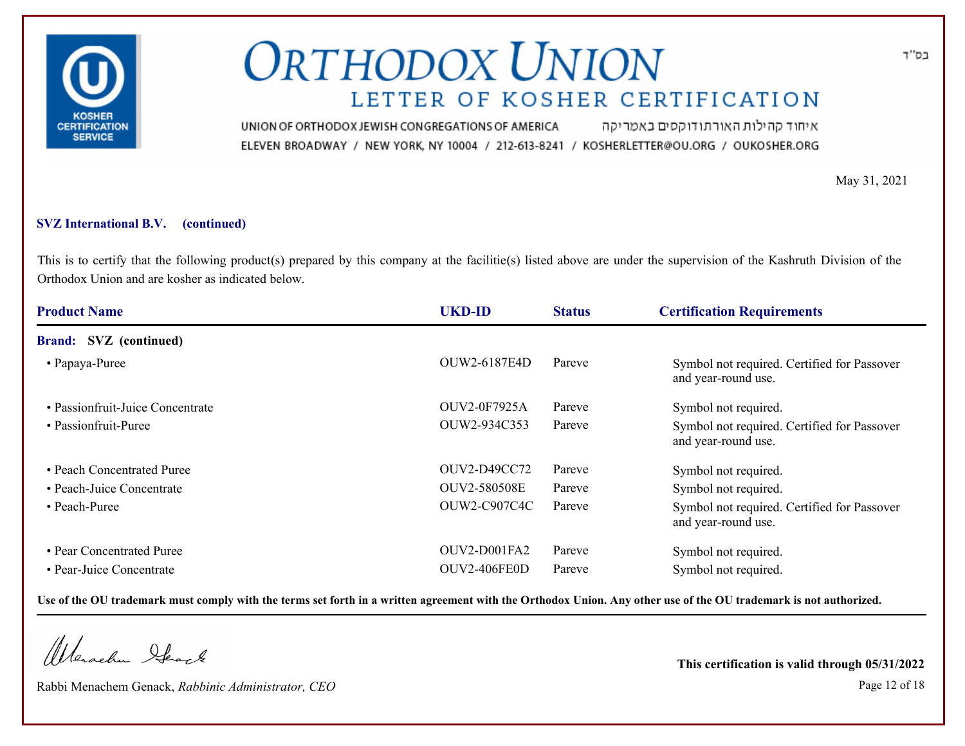

איחוד קהילות האורתודוקסים באמריקה UNION OF ORTHODOX JEWISH CONGREGATIONS OF AMERICA ELEVEN BROADWAY / NEW YORK, NY 10004 / 212-613-8241 / KOSHERLETTER@OU.ORG / OUKOSHER.ORG

May 31, 2021

### **SVZ International B.V. (continued)**

This is to certify that the following product(s) prepared by this company at the facilitie(s) listed above are under the supervision of the Kashruth Division of the Orthodox Union and are kosher as indicated below.

| <b>Product Name</b>              | <b>UKD-ID</b>       | <b>Status</b> | <b>Certification Requirements</b>                                  |
|----------------------------------|---------------------|---------------|--------------------------------------------------------------------|
| <b>Brand:</b> SVZ (continued)    |                     |               |                                                                    |
| • Papaya-Puree                   | OUW2-6187E4D        | Pareve        | Symbol not required. Certified for Passover<br>and year-round use. |
| • Passionfruit-Juice Concentrate | OUV2-0F7925A        | Pareve        | Symbol not required.                                               |
| • Passionfruit-Puree             | OUW2-934C353        | Pareve        | Symbol not required. Certified for Passover<br>and year-round use. |
| • Peach Concentrated Puree       | OUV2-D49CC72        | Pareve        | Symbol not required.                                               |
| • Peach-Juice Concentrate        | OUV2-580508E        | Pareve        | Symbol not required.                                               |
| • Peach-Puree                    | <b>OUW2-C907C4C</b> | Pareve        | Symbol not required. Certified for Passover<br>and year-round use. |
| • Pear Concentrated Puree        | OUV2-D001FA2        | Pareve        | Symbol not required.                                               |
| • Pear-Juice Concentrate         | OUV2-406FE0D        | Pareve        | Symbol not required.                                               |

**Use of the OU trademark must comply with the terms set forth in a written agreement with the Orthodox Union. Any other use of the OU trademark is not authorized.**

Werachen Stack

Rabbi Menachem Genack, *Rabbinic Administrator, CEO* Page 12 of 18

**This certification is valid through 05/31/2022**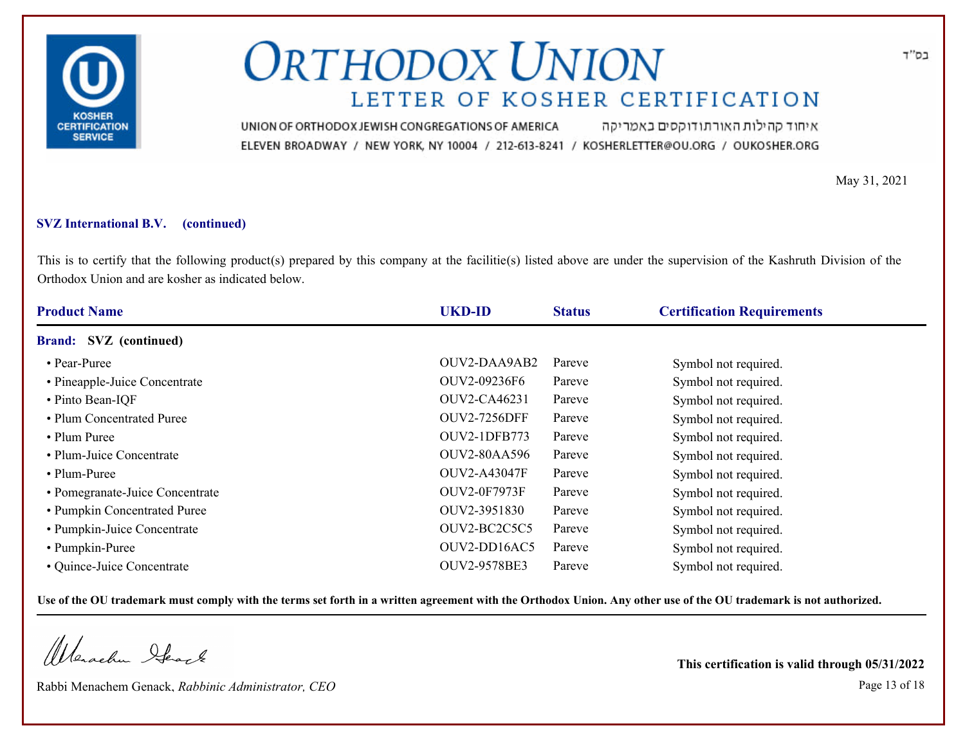

איחוד קהילות האורתודוקסים באמריקה UNION OF ORTHODOX JEWISH CONGREGATIONS OF AMERICA ELEVEN BROADWAY / NEW YORK, NY 10004 / 212-613-8241 / KOSHERLETTER@OU.ORG / OUKOSHER.ORG

May 31, 2021

### **SVZ International B.V. (continued)**

This is to certify that the following product(s) prepared by this company at the facilitie(s) listed above are under the supervision of the Kashruth Division of the Orthodox Union and are kosher as indicated below.

| <b>Product Name</b>             | <b>UKD-ID</b>       | <b>Status</b> | <b>Certification Requirements</b> |
|---------------------------------|---------------------|---------------|-----------------------------------|
| Brand: SVZ (continued)          |                     |               |                                   |
| • Pear-Puree                    | OUV2-DAA9AB2        | Pareve        | Symbol not required.              |
| • Pineapple-Juice Concentrate   | OUV2-09236F6        | Pareve        | Symbol not required.              |
| • Pinto Bean-IQF                | OUV2-CA46231        | Pareve        | Symbol not required.              |
| • Plum Concentrated Puree       | <b>OUV2-7256DFF</b> | Pareve        | Symbol not required.              |
| • Plum Puree                    | <b>OUV2-1DFB773</b> | Pareve        | Symbol not required.              |
| • Plum-Juice Concentrate        | <b>OUV2-80AA596</b> | Pareve        | Symbol not required.              |
| • Plum-Puree                    | OUV2-A43047F        | Pareve        | Symbol not required.              |
| • Pomegranate-Juice Concentrate | <b>OUV2-0F7973F</b> | Pareve        | Symbol not required.              |
| • Pumpkin Concentrated Puree    | OUV2-3951830        | Pareve        | Symbol not required.              |
| • Pumpkin-Juice Concentrate     | OUV2-BC2C5C5        | Pareve        | Symbol not required.              |
| • Pumpkin-Puree                 | OUV2-DD16AC5        | Pareve        | Symbol not required.              |
| • Quince-Juice Concentrate      | OUV2-9578BE3        | Pareve        | Symbol not required.              |

**Use of the OU trademark must comply with the terms set forth in a written agreement with the Orthodox Union. Any other use of the OU trademark is not authorized.**

Werachen Stack

Rabbi Menachem Genack, *Rabbinic Administrator, CEO* Page 13 of 18

**This certification is valid through 05/31/2022**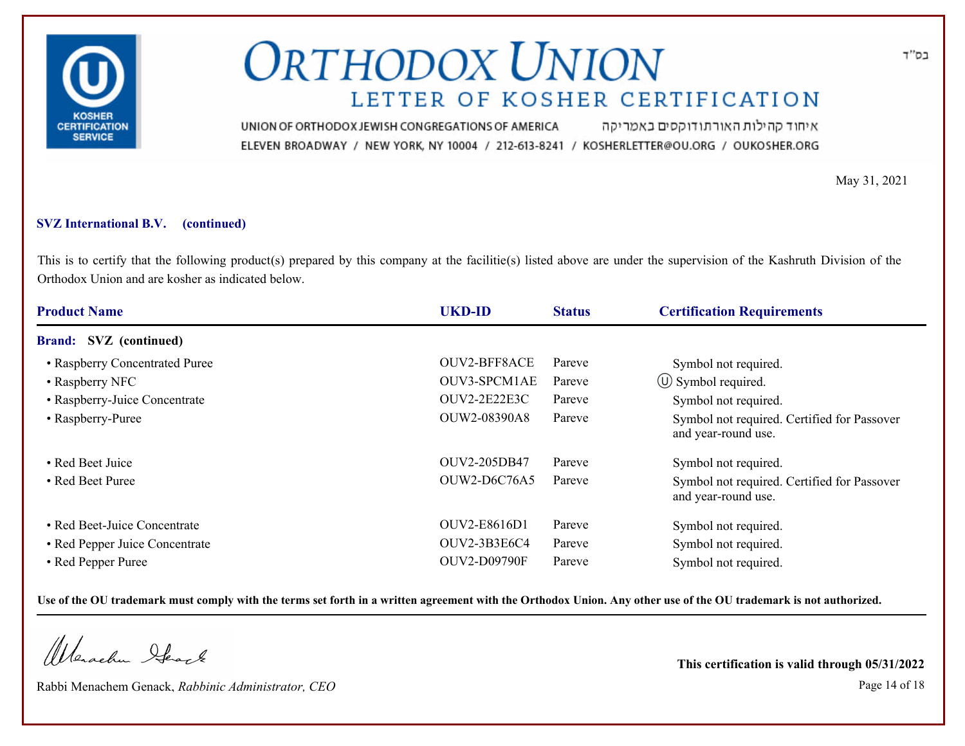

איחוד קהילות האורתודוקסים באמריקה UNION OF ORTHODOX JEWISH CONGREGATIONS OF AMERICA ELEVEN BROADWAY / NEW YORK, NY 10004 / 212-613-8241 / KOSHERLETTER@OU.ORG / OUKOSHER.ORG

May 31, 2021

### **SVZ International B.V. (continued)**

This is to certify that the following product(s) prepared by this company at the facilitie(s) listed above are under the supervision of the Kashruth Division of the Orthodox Union and are kosher as indicated below.

| <b>Product Name</b>            | <b>UKD-ID</b>       | <b>Status</b> | <b>Certification Requirements</b>                                  |
|--------------------------------|---------------------|---------------|--------------------------------------------------------------------|
| <b>Brand:</b> SVZ (continued)  |                     |               |                                                                    |
| • Raspberry Concentrated Puree | <b>OUV2-BFF8ACE</b> | Pareve        | Symbol not required.                                               |
| • Raspberry NFC                | OUV3-SPCM1AE        | Pareve        | $\circ$ Symbol required.                                           |
| • Raspberry-Juice Concentrate  | OUV2-2E22E3C        | Pareve        | Symbol not required.                                               |
| • Raspberry-Puree              | OUW2-08390A8        | Pareve        | Symbol not required. Certified for Passover<br>and year-round use. |
| • Red Beet Juice               | OUV2-205DB47        | Pareve        | Symbol not required.                                               |
| • Red Beet Puree               | OUW2-D6C76A5        | Pareve        | Symbol not required. Certified for Passover<br>and year-round use. |
| • Red Beet-Juice Concentrate   | OUV2-E8616D1        | Pareve        | Symbol not required.                                               |
| • Red Pepper Juice Concentrate | OUV2-3B3E6C4        | Pareve        | Symbol not required.                                               |
| • Red Pepper Puree             | <b>OUV2-D09790F</b> | Pareve        | Symbol not required.                                               |

**Use of the OU trademark must comply with the terms set forth in a written agreement with the Orthodox Union. Any other use of the OU trademark is not authorized.**

Werachen Ifearle

Rabbi Menachem Genack, *Rabbinic Administrator, CEO* Page 14 of 18

**This certification is valid through 05/31/2022**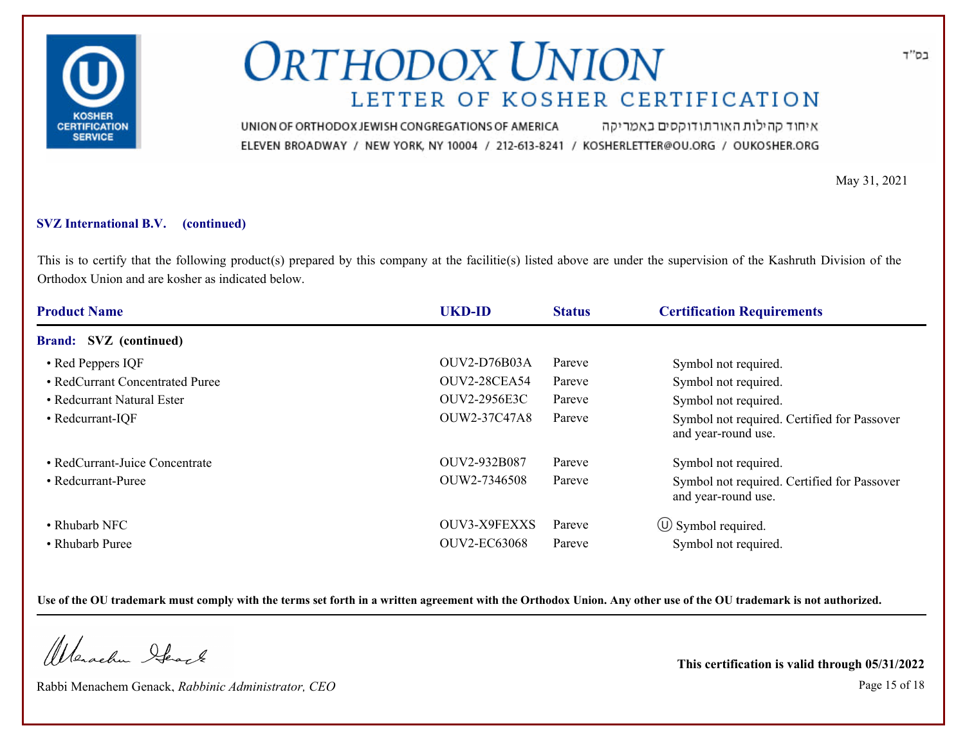

איחוד קהילות האורתודוקסים באמריקה UNION OF ORTHODOX JEWISH CONGREGATIONS OF AMERICA ELEVEN BROADWAY / NEW YORK, NY 10004 / 212-613-8241 / KOSHERLETTER@OU.ORG / OUKOSHER.ORG

May 31, 2021

### **SVZ International B.V. (continued)**

This is to certify that the following product(s) prepared by this company at the facilitie(s) listed above are under the supervision of the Kashruth Division of the Orthodox Union and are kosher as indicated below.

| <b>Product Name</b>             | <b>UKD-ID</b>       | <b>Status</b> | <b>Certification Requirements</b>                                  |
|---------------------------------|---------------------|---------------|--------------------------------------------------------------------|
| <b>Brand:</b> SVZ (continued)   |                     |               |                                                                    |
| • Red Peppers IQF               | <b>OUV2-D76B03A</b> | Pareve        | Symbol not required.                                               |
| • RedCurrant Concentrated Puree | <b>OUV2-28CEA54</b> | Pareve        | Symbol not required.                                               |
| • Redcurrant Natural Ester      | OUV2-2956E3C        | Pareve        | Symbol not required.                                               |
| • Redcurrant-IQF                | OUW2-37C47A8        | Pareve        | Symbol not required. Certified for Passover<br>and year-round use. |
| • RedCurrant-Juice Concentrate  | OUV2-932B087        | Pareve        | Symbol not required.                                               |
| • Redcurrant-Puree              | OUW2-7346508        | Pareve        | Symbol not required. Certified for Passover<br>and year-round use. |
| • Rhubarb NFC                   | OUV3-X9FEXXS        | Pareve        | $\circled{1}$ Symbol required.                                     |
| • Rhubarb Puree                 | <b>OUV2-EC63068</b> | Pareve        | Symbol not required.                                               |

**Use of the OU trademark must comply with the terms set forth in a written agreement with the Orthodox Union. Any other use of the OU trademark is not authorized.**

Werachen Ifearle

Rabbi Menachem Genack, *Rabbinic Administrator, CEO* Page 15 of 18

**This certification is valid through 05/31/2022**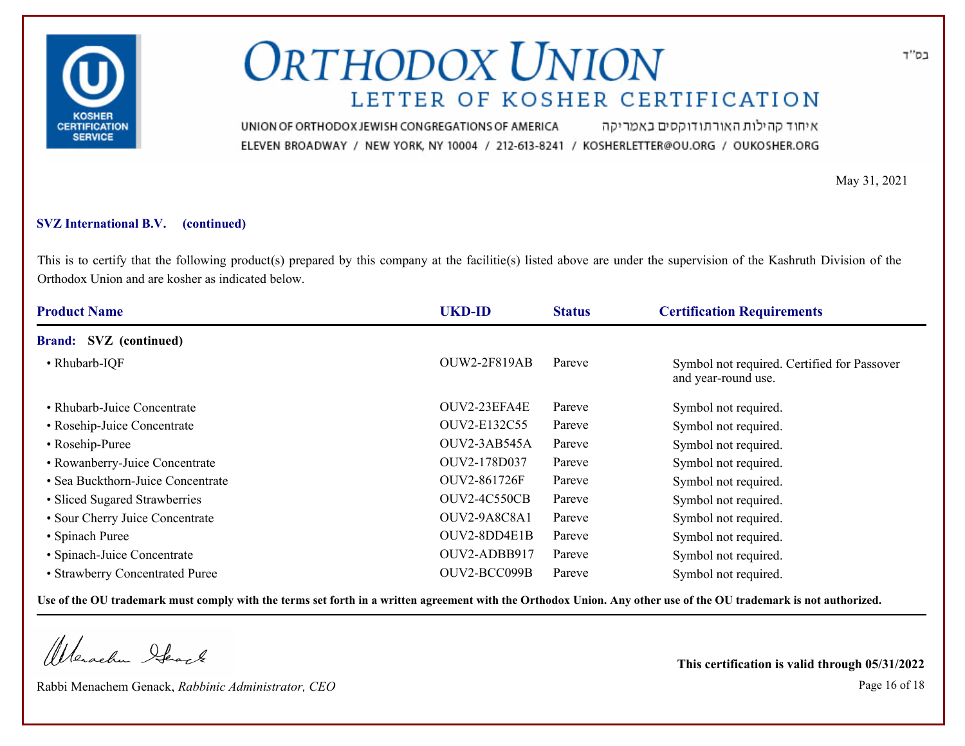

איחוד קהילות האורתודוקסים באמריקה UNION OF ORTHODOX JEWISH CONGREGATIONS OF AMERICA ELEVEN BROADWAY / NEW YORK, NY 10004 / 212-613-8241 / KOSHERLETTER@OU.ORG / OUKOSHER.ORG

May 31, 2021

### **SVZ International B.V. (continued)**

This is to certify that the following product(s) prepared by this company at the facilitie(s) listed above are under the supervision of the Kashruth Division of the Orthodox Union and are kosher as indicated below.

| <b>Product Name</b>               | <b>UKD-ID</b>       | <b>Status</b> | <b>Certification Requirements</b>                                  |
|-----------------------------------|---------------------|---------------|--------------------------------------------------------------------|
| <b>Brand:</b> SVZ (continued)     |                     |               |                                                                    |
| • Rhubarb-IQF                     | <b>OUW2-2F819AB</b> | Pareve        | Symbol not required. Certified for Passover<br>and year-round use. |
| • Rhubarb-Juice Concentrate       | OUV2-23EFA4E        | Pareve        | Symbol not required.                                               |
| • Rosehip-Juice Concentrate       | OUV2-E132C55        | Pareve        | Symbol not required.                                               |
| • Rosehip-Puree                   | OUV2-3AB545A        | Pareve        | Symbol not required.                                               |
| • Rowanberry-Juice Concentrate    | OUV2-178D037        | Pareve        | Symbol not required.                                               |
| • Sea Buckthorn-Juice Concentrate | OUV2-861726F        | Pareve        | Symbol not required.                                               |
| • Sliced Sugared Strawberries     | <b>OUV2-4C550CB</b> | Pareve        | Symbol not required.                                               |
| • Sour Cherry Juice Concentrate   | OUV2-9A8C8A1        | Pareve        | Symbol not required.                                               |
| • Spinach Puree                   | OUV2-8DD4E1B        | Pareve        | Symbol not required.                                               |
| • Spinach-Juice Concentrate       | OUV2-ADBB917        | Pareve        | Symbol not required.                                               |
| • Strawberry Concentrated Puree   | OUV2-BCC099B        | Pareve        | Symbol not required.                                               |

**Use of the OU trademark must comply with the terms set forth in a written agreement with the Orthodox Union. Any other use of the OU trademark is not authorized.**

Werachen Stack

Rabbi Menachem Genack, *Rabbinic Administrator, CEO* Page 16 of 18

**This certification is valid through 05/31/2022**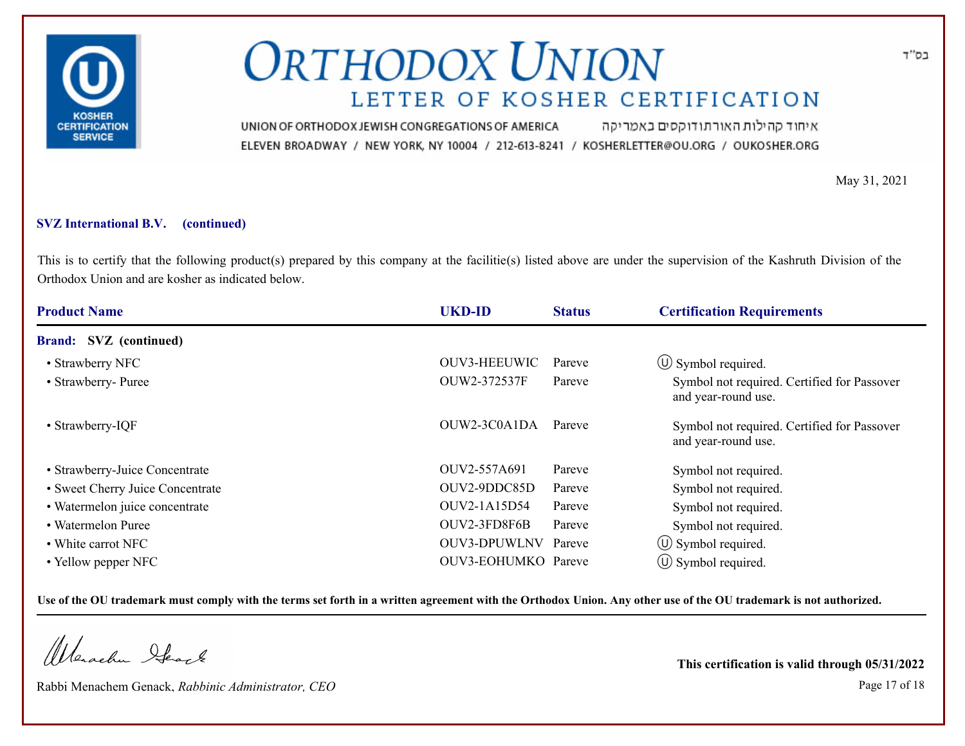

איחוד קהילות האורתודוקסים באמריקה UNION OF ORTHODOX JEWISH CONGREGATIONS OF AMERICA ELEVEN BROADWAY / NEW YORK, NY 10004 / 212-613-8241 / KOSHERLETTER@OU.ORG / OUKOSHER.ORG

May 31, 2021

### **SVZ International B.V. (continued)**

This is to certify that the following product(s) prepared by this company at the facilitie(s) listed above are under the supervision of the Kashruth Division of the Orthodox Union and are kosher as indicated below.

| <b>Product Name</b>              | <b>UKD-ID</b>       | <b>Status</b> | <b>Certification Requirements</b>                                  |
|----------------------------------|---------------------|---------------|--------------------------------------------------------------------|
| <b>Brand:</b> SVZ (continued)    |                     |               |                                                                    |
| • Strawberry NFC                 | OUV3-HEEUWIC        | Pareve        | $\circ$ Symbol required.                                           |
| • Strawberry- Puree              | OUW2-372537F        | Pareve        | Symbol not required. Certified for Passover<br>and year-round use. |
| • Strawberry-IQF                 | OUW2-3C0A1DA        | Pareve        | Symbol not required. Certified for Passover<br>and year-round use. |
| • Strawberry-Juice Concentrate   | OUV2-557A691        | Pareve        | Symbol not required.                                               |
| • Sweet Cherry Juice Concentrate | OUV2-9DDC85D        | Pareve        | Symbol not required.                                               |
| · Watermelon juice concentrate   | OUV2-1A15D54        | Pareve        | Symbol not required.                                               |
| • Watermelon Puree               | OUV2-3FD8F6B        | Pareve        | Symbol not required.                                               |
| • White carrot NFC               | OUV3-DPUWLNV Pareve |               | $\circ$ Symbol required.                                           |
| • Yellow pepper NFC              | OUV3-EOHUMKO Pareve |               | $\circ$ Symbol required.                                           |

**Use of the OU trademark must comply with the terms set forth in a written agreement with the Orthodox Union. Any other use of the OU trademark is not authorized.**

Werachen Stack

Rabbi Menachem Genack, *Rabbinic Administrator, CEO* Page 17 of 18

**This certification is valid through 05/31/2022**